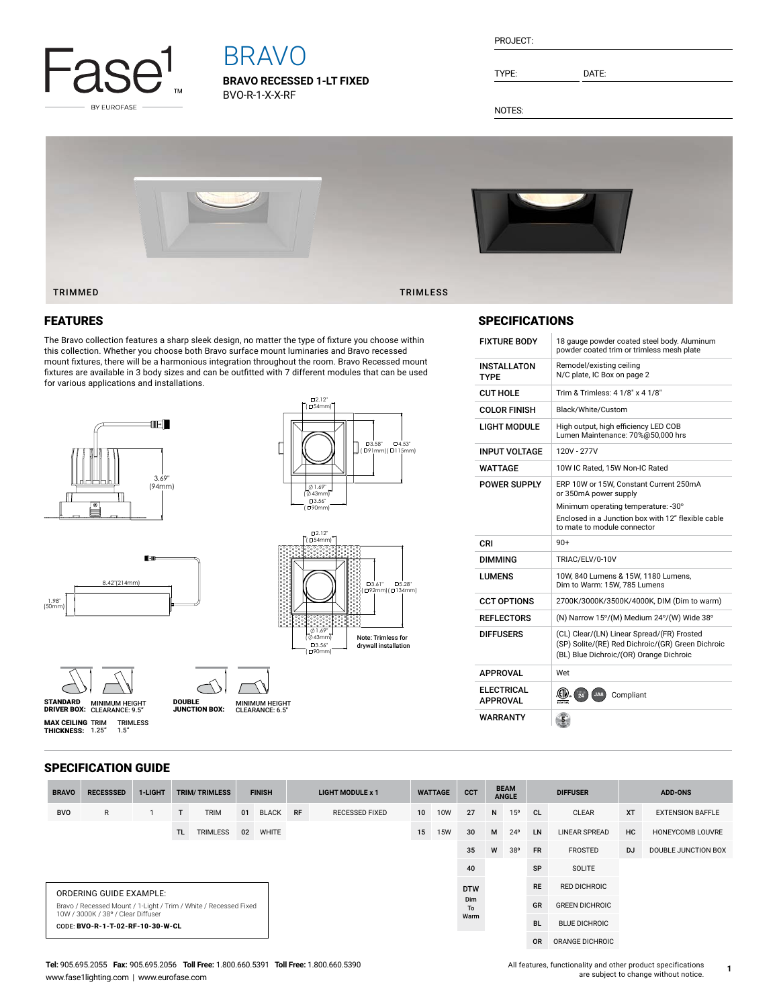

# BRAVO

**BRAVO RECESSED 1-LT FIXED** BVO-R-1-X-X-RF

| PROJECT: |
|----------|
|----------|

TYPE: DATE:

NOTES:



### FEATURES

The Bravo collection features a sharp sleek design, no matter the type of fixture you choose within this collection. Whether you choose both Bravo surface mount luminaries and Bravo recessed mount fixtures, there will be a harmonious integration throughout the room. Bravo Recessed mount fixtures are available in 3 body sizes and can be outfitted with 7 different modules that can be used for various applications and installations.







1.69" ( ∕0 43mm)<br>" 13.56"<br>( שר 90mm)

2.12" ( 54mm)

MINIMUM HEIGHT CLEARANCE: 9.5" STANDARD DRIVER BOX: MINIMUM HEIGHT **MAX CEILING** TRIM TRIMLESS<br>**THICKNESS:** 1.25" 1.5" DOUBLE JUNCTION BOX:

CLEARANCE: 6.5"



| INPUT VOLTAGE          | 120V - 277V                                                                                                                                                                                 |
|------------------------|---------------------------------------------------------------------------------------------------------------------------------------------------------------------------------------------|
| WATTAGE                | 10W IC Rated, 15W Non-IC Rated                                                                                                                                                              |
| POWER SUPPLY           | ERP 10W or 15W, Constant Current 250mA<br>or 350mA power supply<br>Minimum operating temperature: -30°<br>Enclosed in a Junction box with 12" flexible cable<br>to mate to module connector |
| CRI                    | $90+$                                                                                                                                                                                       |
| DIMMING                | TRIAC/ELV/0-10V                                                                                                                                                                             |
| LUMENS                 | 10W, 840 Lumens & 15W, 1180 Lumens,<br>Dim to Warm: 15W, 785 Lumens                                                                                                                         |
| <b>CCT OPTIONS</b>     | 2700K/3000K/3500K/4000K, DIM (Dim to warm)                                                                                                                                                  |
| RFFI FCTORS            | (N) Narrow 15°/(M) Medium 24°/(W) Wide 38°                                                                                                                                                  |
| DIFFUSERS              | (CL) Clear/(LN) Linear Spread/(FR) Frosted<br>(SP) Solite/(RE) Red Dichroic/(GR) Green Dichroic<br>(BL) Blue Dichroic/(OR) Orange Dichroic                                                  |
| APPROVAL               | Wet                                                                                                                                                                                         |
| ELECTRICAL<br>APPROVAL | Compliant<br>$\overline{24}$<br><b>JA</b> &<br>ntertek                                                                                                                                      |
| WARRANTY               |                                                                                                                                                                                             |

### SPECIFICATION GUIDE

| <b>BRAVO</b>                                                                                           | <b>RECESSSED</b> | 1-LIGHT | <b>TRIM/TRIMLESS</b> |                 | <b>FINISH</b> |              | <b>LIGHT MODULE x 1</b> |                       | <b>WATTAGE</b>  |            | <b>CCT</b> | <b>BEAM</b><br><b>ANGLE</b> |              | <b>DIFFUSER</b>       |                      | <b>ADD-ONS</b> |                         |
|--------------------------------------------------------------------------------------------------------|------------------|---------|----------------------|-----------------|---------------|--------------|-------------------------|-----------------------|-----------------|------------|------------|-----------------------------|--------------|-----------------------|----------------------|----------------|-------------------------|
| <b>BVO</b>                                                                                             | $\mathsf{R}$     |         | T.                   | <b>TRIM</b>     | 01            | <b>BLACK</b> | <b>RF</b>               | <b>RECESSED FIXED</b> | 10 <sup>1</sup> | <b>10W</b> | 27         | N                           | 15°          | <b>CL</b>             | <b>CLEAR</b>         | <b>XT</b>      | <b>EXTENSION BAFFLE</b> |
|                                                                                                        |                  |         | TL.                  | <b>TRIMLESS</b> | 02            | <b>WHITE</b> |                         |                       | 15              | <b>15W</b> | 30         | M                           | $24^{\circ}$ | LN                    | <b>LINEAR SPREAD</b> | HC             | HONEYCOMB LOUVRE        |
|                                                                                                        |                  |         |                      |                 |               |              |                         |                       |                 |            | 35         | W                           | 38°          | <b>FR</b>             | FROSTED              | <b>DJ</b>      | DOUBLE JUNCTION BOX     |
| 40                                                                                                     |                  |         |                      |                 |               |              |                         |                       |                 |            | SP         | SOLITE                      |              |                       |                      |                |                         |
| ORDERING GUIDE EXAMPLE:                                                                                |                  |         |                      |                 |               |              |                         |                       |                 |            | <b>DTW</b> |                             |              | <b>RE</b>             | <b>RED DICHROIC</b>  |                |                         |
| Bravo / Recessed Mount / 1-Light / Trim / White / Recessed Fixed<br>10W / 3000K / 38° / Clear Diffuser |                  |         |                      |                 |               |              |                         |                       |                 | Dim<br>To  |            |                             | GR           | <b>GREEN DICHROIC</b> |                      |                |                         |
| CODE: BVO-R-1-T-02-RF-10-30-W-CL                                                                       |                  |         |                      |                 |               |              |                         |                       |                 |            | Warm       |                             |              | <b>BL</b>             | <b>BLUE DICHROIC</b> |                |                         |
|                                                                                                        |                  |         |                      |                 |               |              |                         |                       |                 |            |            |                             |              | <b>OR</b>             | ORANGE DICHROIC      |                |                         |

5.28" (ロ92mm) (ロ134mm) 3.61"

□3.58" □4.53"<br>(□91mm) (□115mm) 3.58"

Π

**1**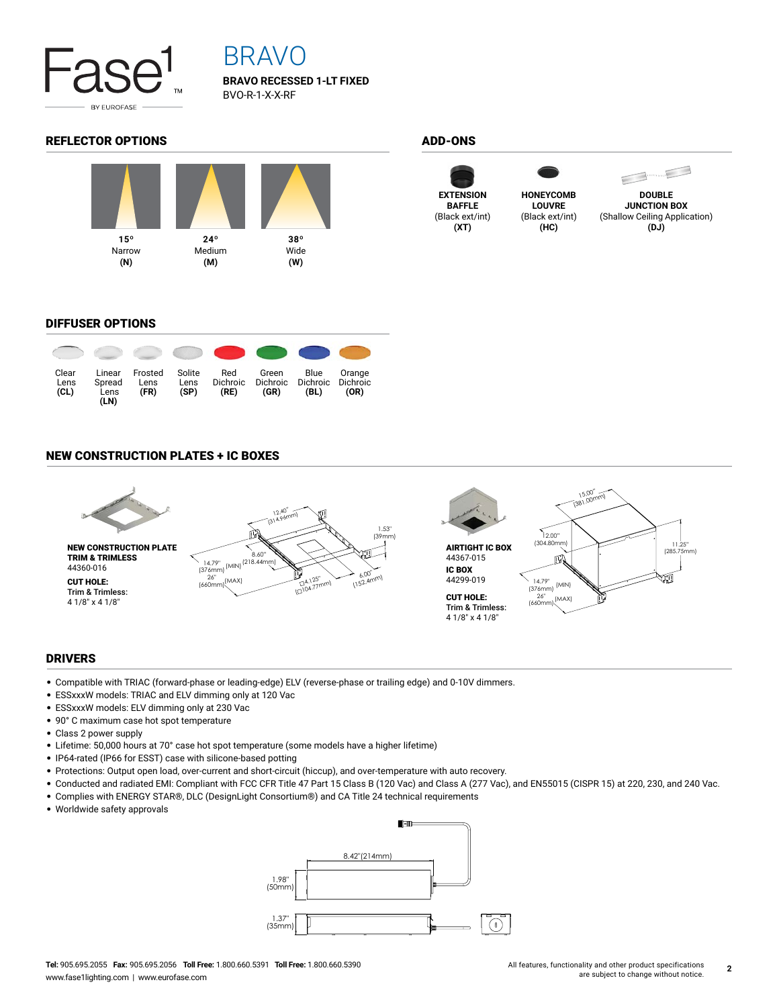

## BRAVO

**BRAVO RECESSED 1-LT FIXED** BVO-R-1-X-X-RF

### REFLECTOR OPTIONS ADD-ONS









**DOUBLE JUNCTION BOX** (Shallow Ceiling Application) **(DJ)**

### DIFFUSER OPTIONS



### NEW CONSTRUCTION PLATES + IC BOXES



### DRIVERS

- Compatible with TRIAC (forward-phase or leading-edge) ELV (reverse-phase or trailing edge) and 0-10V dimmers.
- ESSxxxW models: TRIAC and ELV dimming only at 120 Vac
- ESSxxxW models: ELV dimming only at 230 Vac
- 90° C maximum case hot spot temperature
- Class 2 power supply
- Lifetime: 50,000 hours at 70° case hot spot temperature (some models have a higher lifetime)
- IP64-rated (IP66 for ESST) case with silicone-based potting
- Protections: Output open load, over-current and short-circuit (hiccup), and over-temperature with auto recovery.
- Conducted and radiated EMI: Compliant with FCC CFR Title 47 Part 15 Class B (120 Vac) and Class A (277 Vac), and EN55015 (CISPR 15) at 220, 230, and 240 Vac.
- Complies with ENERGY STAR®, DLC (DesignLight Consortium®) and CA Title 24 technical requirements
- Worldwide safety approvals